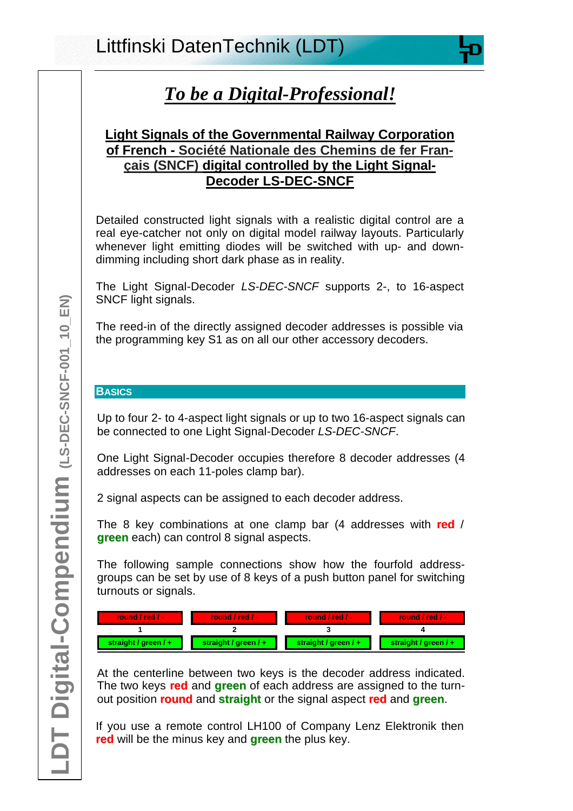# **Light Signals of the Governmental Railway Corporation of French - Société Nationale des Chemins de fer Français (SNCF) digital controlled by the Light Signal-Decoder LS-DEC-SNCF**

Detailed constructed light signals with a realistic digital control are a real eye-catcher not only on digital model railway layouts. Particularly whenever light emitting diodes will be switched with up- and downdimming including short dark phase as in reality.

The Light Signal-Decoder *LS-DEC-SNCF* supports 2-, to 16-aspect SNCF light signals.

The reed-in of the directly assigned decoder addresses is possible via the programming key S1 as on all our other accessory decoders.

# **BASICS**

Up to four 2- to 4-aspect light signals or up to two 16-aspect signals can be connected to one Light Signal-Decoder *LS-DEC-SNCF*.

One Light Signal-Decoder occupies therefore 8 decoder addresses (4 addresses on each 11-poles clamp bar).

2 signal aspects can be assigned to each decoder address.

The 8 key combinations at one clamp bar (4 addresses with **red** / **green** each) can control 8 signal aspects.

The following sample connections show how the fourfold addressgroups can be set by use of 8 keys of a push button panel for switching turnouts or signals.

| <b>round</b> / red / $-$ | <b>Tound / red / -</b> | <b>\round</b> / red / - | <b>Tound / red / -</b> |
|--------------------------|------------------------|-------------------------|------------------------|
|                          |                        |                         |                        |
| straight / $green/ +$    | straight / green / +   | straight / green / +    | straight / $green / +$ |

At the centerline between two keys is the decoder address indicated. The two keys **red** and **green** of each address are assigned to the turnout position **round** and **straight** or the signal aspect **red** and **green**.

If you use a remote control LH100 of Company Lenz Elektronik then **red** will be the minus key and **green** the plus key.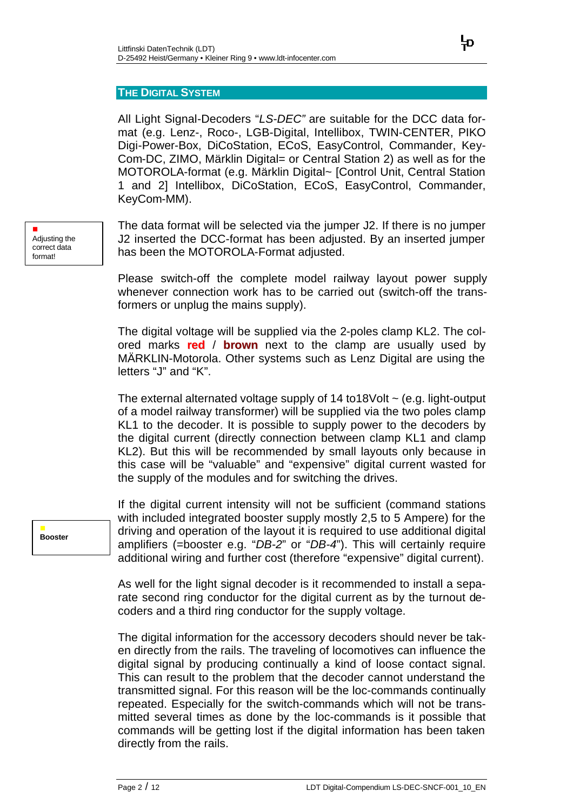## **THE DIGITAL SYSTEM**

All Light Signal-Decoders "*LS-DEC"* are suitable for the DCC data format (e.g. Lenz-, Roco-, LGB-Digital, Intellibox, TWIN-CENTER, PIKO Digi-Power-Box, DiCoStation, ECoS, EasyControl, Commander, Key-Com-DC, ZIMO, Märklin Digital= or Central Station 2) as well as for the MOTOROLA-format (e.g. Märklin Digital~ [Control Unit, Central Station 1 and 2] Intellibox, DiCoStation, ECoS, EasyControl, Commander, KeyCom-MM).

The data format will be selected via the jumper J2. If there is no jumper J2 inserted the DCC-format has been adjusted. By an inserted jumper has been the MOTOROLA-Format adjusted.

Please switch-off the complete model railway layout power supply whenever connection work has to be carried out (switch-off the transformers or unplug the mains supply).

The digital voltage will be supplied via the 2-poles clamp KL2. The colored marks **red** / **brown** next to the clamp are usually used by MÄRKLIN-Motorola. Other systems such as Lenz Digital are using the letters "J" and "K".

The external alternated voltage supply of  $14$  to  $18$ Volt  $\sim$  (e.g. light-output of a model railway transformer) will be supplied via the two poles clamp KL1 to the decoder. It is possible to supply power to the decoders by the digital current (directly connection between clamp KL1 and clamp KL2). But this will be recommended by small layouts only because in this case will be "valuable" and "expensive" digital current wasted for the supply of the modules and for switching the drives.

If the digital current intensity will not be sufficient (command stations with included integrated booster supply mostly 2,5 to 5 Ampere) for the driving and operation of the layout it is required to use additional digital amplifiers (=booster e.g. "*DB-2*" or "*DB-4*"). This will certainly require additional wiring and further cost (therefore "expensive" digital current).

As well for the light signal decoder is it recommended to install a separate second ring conductor for the digital current as by the turnout decoders and a third ring conductor for the supply voltage.

The digital information for the accessory decoders should never be taken directly from the rails. The traveling of locomotives can influence the digital signal by producing continually a kind of loose contact signal. This can result to the problem that the decoder cannot understand the transmitted signal. For this reason will be the loc-commands continually repeated. Especially for the switch-commands which will not be transmitted several times as done by the loc-commands is it possible that commands will be getting lost if the digital information has been taken directly from the rails.

n Adjusting the correct data format!

> n **Booster**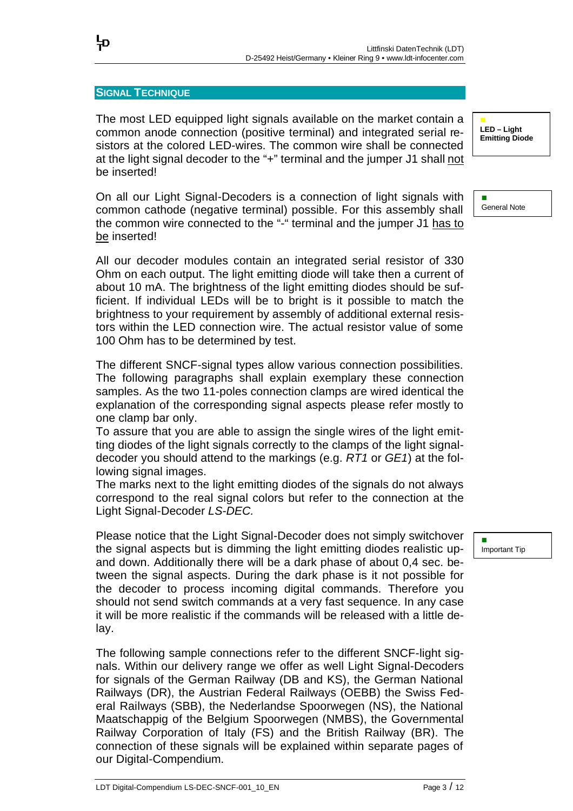### **SIGNAL TECHNIQUE**

뉴

The most LED equipped light signals available on the market contain a common anode connection (positive terminal) and integrated serial resistors at the colored LED-wires. The common wire shall be connected at the light signal decoder to the "+" terminal and the jumper J1 shall not be inserted!

On all our Light Signal-Decoders is a connection of light signals with common cathode (negative terminal) possible. For this assembly shall the common wire connected to the "-" terminal and the jumper J1 has to be inserted!

All our decoder modules contain an integrated serial resistor of 330 Ohm on each output. The light emitting diode will take then a current of about 10 mA. The brightness of the light emitting diodes should be sufficient. If individual LEDs will be to bright is it possible to match the brightness to your requirement by assembly of additional external resistors within the LED connection wire. The actual resistor value of some 100 Ohm has to be determined by test.

The different SNCF-signal types allow various connection possibilities. The following paragraphs shall explain exemplary these connection samples. As the two 11-poles connection clamps are wired identical the explanation of the corresponding signal aspects please refer mostly to one clamp bar only.

To assure that you are able to assign the single wires of the light emitting diodes of the light signals correctly to the clamps of the light signaldecoder you should attend to the markings (e.g. *RT1* or *GE1*) at the following signal images.

The marks next to the light emitting diodes of the signals do not always correspond to the real signal colors but refer to the connection at the Light Signal-Decoder *LS-DEC.*

Please notice that the Light Signal-Decoder does not simply switchover the signal aspects but is dimming the light emitting diodes realistic upand down. Additionally there will be a dark phase of about 0,4 sec. between the signal aspects. During the dark phase is it not possible for the decoder to process incoming digital commands. Therefore you should not send switch commands at a very fast sequence. In any case it will be more realistic if the commands will be released with a little delay.

The following sample connections refer to the different SNCF-light signals. Within our delivery range we offer as well Light Signal-Decoders for signals of the German Railway (DB and KS), the German National Railways (DR), the Austrian Federal Railways (OEBB) the Swiss Federal Railways (SBB), the Nederlandse Spoorwegen (NS), the National Maatschappig of the Belgium Spoorwegen (NMBS), the Governmental Railway Corporation of Italy (FS) and the British Railway (BR). The connection of these signals will be explained within separate pages of our Digital-Compendium.

n **LED – Light Emitting Diode**

n General Note

Important Tip

n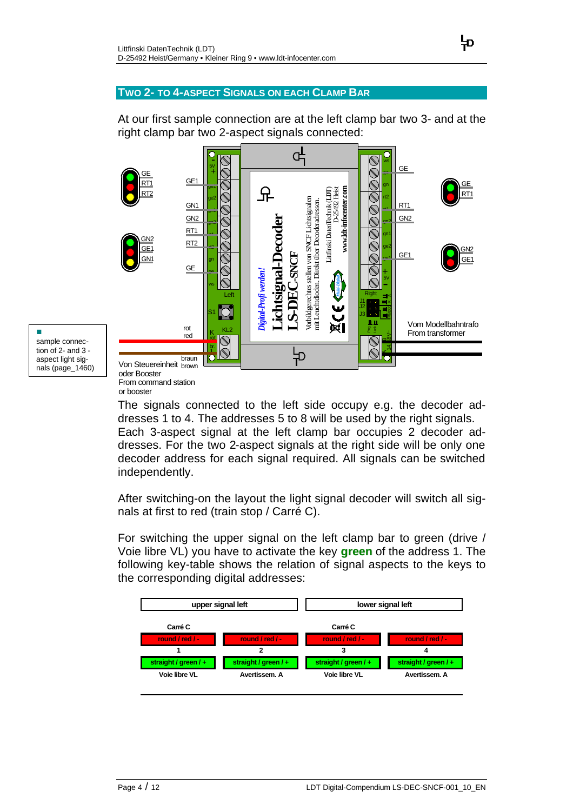## **TWO 2- TO 4-ASPECT SIGNALS ON EACH CLAMP BAR**

At our first sample connection are at the left clamp bar two 3- and at the right clamp bar two 2-aspect signals connected:



n sample connection of 2- and 3 aspect light signals (page\_1460)

oder Booster From command station or booster

The signals connected to the left side occupy e.g. the decoder addresses 1 to 4. The addresses 5 to 8 will be used by the right signals. Each 3-aspect signal at the left clamp bar occupies 2 decoder addresses. For the two 2-aspect signals at the right side will be only one decoder address for each signal required. All signals can be switched independently.

After switching-on the layout the light signal decoder will switch all signals at first to red (train stop / Carré C).

For switching the upper signal on the left clamp bar to green (drive / Voie libre VL) you have to activate the key **green** of the address 1. The following key-table shows the relation of signal aspects to the keys to the corresponding digital addresses:

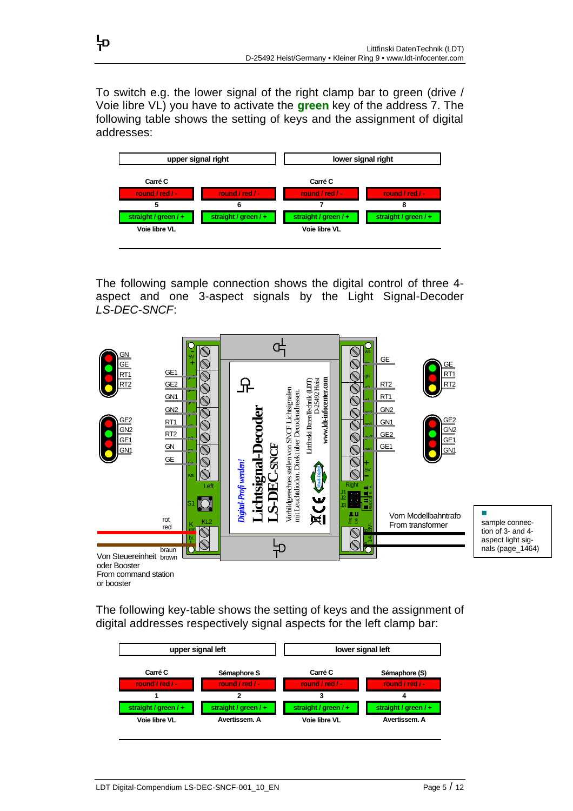To switch e.g. the lower signal of the right clamp bar to green (drive / Voie libre VL) you have to activate the **green** key of the address 7. The following table shows the setting of keys and the assignment of digital addresses:

뉴



The following sample connection shows the digital control of three 4 aspect and one 3-aspect signals by the Light Signal-Decoder *LS-DEC-SNCF*:



The following key-table shows the setting of keys and the assignment of digital addresses respectively signal aspects for the left clamp bar:

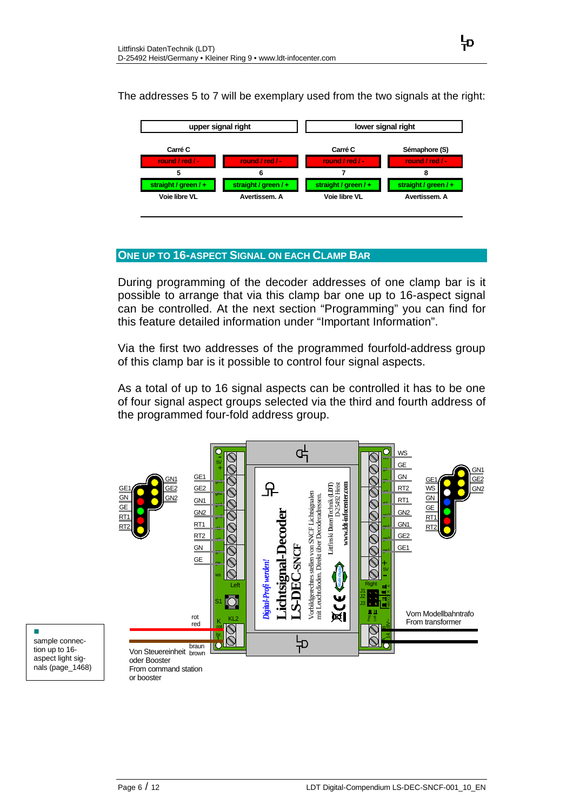The addresses 5 to 7 will be exemplary used from the two signals at the right:



# **ONE UP TO 16-ASPECT SIGNAL ON EACH CLAMP BAR**

During programming of the decoder addresses of one clamp bar is it possible to arrange that via this clamp bar one up to 16-aspect signal can be controlled. At the next section "Programming" you can find for this feature detailed information under "Important Information".

Via the first two addresses of the programmed fourfold-address group of this clamp bar is it possible to control four signal aspects.

As a total of up to 16 signal aspects can be controlled it has to be one of four signal aspect groups selected via the third and fourth address of the programmed four-fold address group.

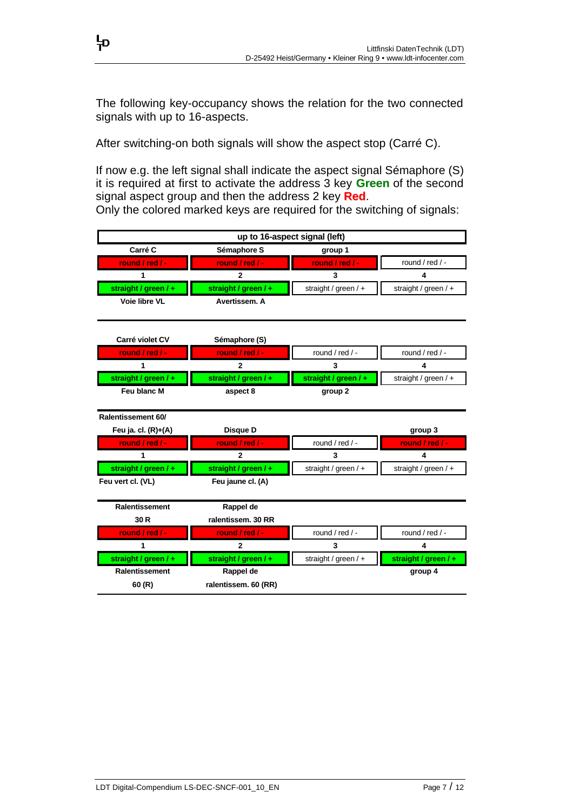The following key-occupancy shows the relation for the two connected signals with up to 16-aspects.

After switching-on both signals will show the aspect stop (Carré C).

뉴

If now e.g. the left signal shall indicate the aspect signal Sémaphore (S) it is required at first to activate the address 3 key **Green** of the second signal aspect group and then the address 2 key **Red**.

Only the colored marked keys are required for the switching of signals:

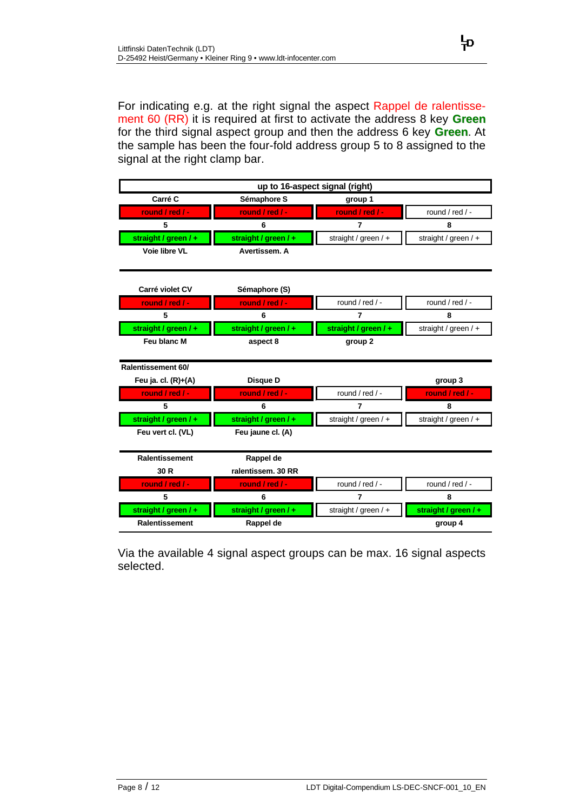For indicating e.g. at the right signal the aspect Rappel de ralentissement 60 (RR) it is required at first to activate the address 8 key **Green** for the third signal aspect group and then the address 6 key **Green**. At the sample has been the four-fold address group 5 to 8 assigned to the signal at the right clamp bar.



Via the available 4 signal aspect groups can be max. 16 signal aspects selected.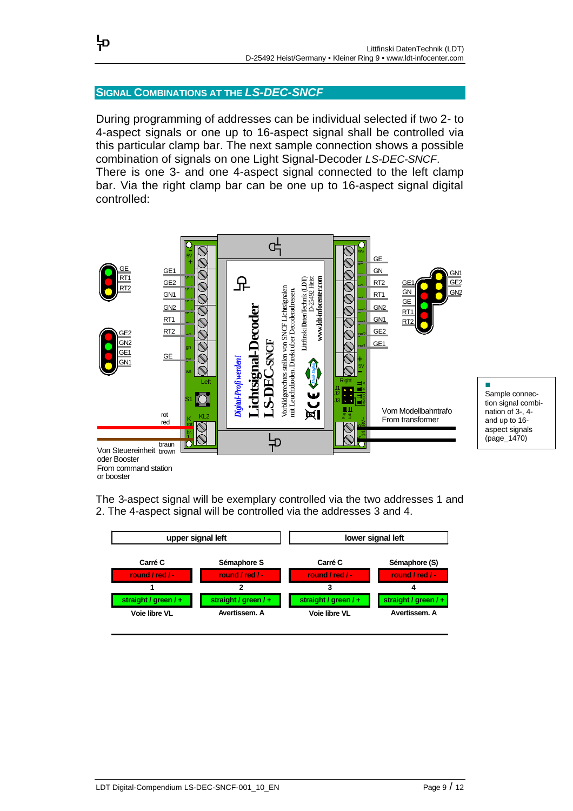# **SIGNAL COMBINATIONS AT THE** *LS-DEC-SNCF*

뉴

During programming of addresses can be individual selected if two 2- to 4-aspect signals or one up to 16-aspect signal shall be controlled via this particular clamp bar. The next sample connection shows a possible combination of signals on one Light Signal-Decoder *LS-DEC-SNCF*. There is one 3- and one 4-aspect signal connected to the left clamp bar. Via the right clamp bar can be one up to 16-aspect signal digital controlled:



oder Booster From command station or booster

The 3-aspect signal will be exemplary controlled via the two addresses 1 and 2. The 4-aspect signal will be controlled via the addresses 3 and 4.

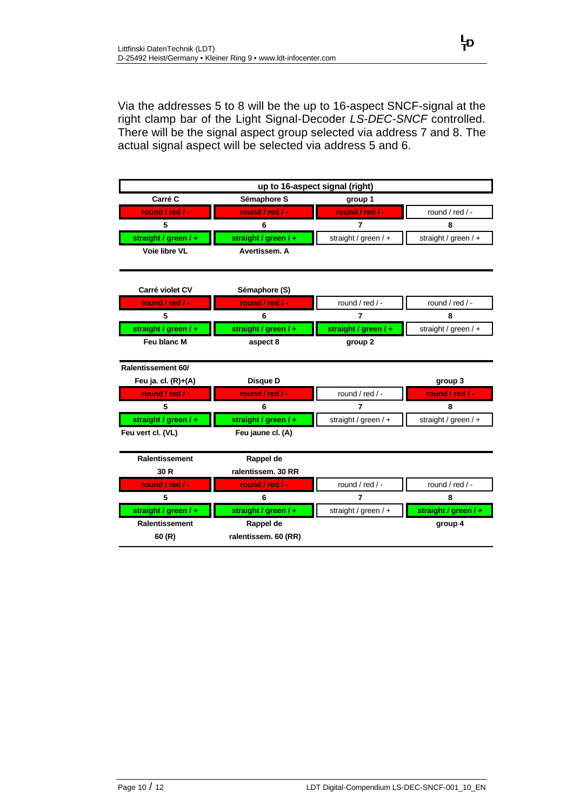Via the addresses 5 to 8 will be the up to 16-aspect SNCF-signal at the right clamp bar of the Light Signal-Decoder *LS-DEC-SNCF* controlled. There will be the signal aspect group selected via address 7 and 8. The actual signal aspect will be selected via address 5 and 6.

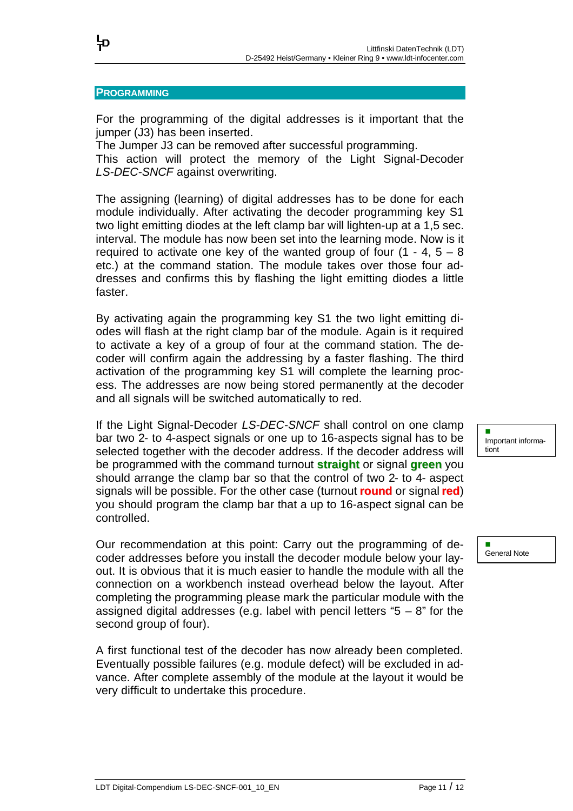### **PROGRAMMING**

뉴

For the programming of the digital addresses is it important that the jumper (J3) has been inserted.

The Jumper J3 can be removed after successful programming.

This action will protect the memory of the Light Signal-Decoder *LS-DEC-SNCF* against overwriting.

The assigning (learning) of digital addresses has to be done for each module individually. After activating the decoder programming key S1 two light emitting diodes at the left clamp bar will lighten-up at a 1,5 sec. interval. The module has now been set into the learning mode. Now is it required to activate one key of the wanted group of four  $(1 - 4, 5 - 8)$ etc.) at the command station. The module takes over those four addresses and confirms this by flashing the light emitting diodes a little faster.

By activating again the programming key S1 the two light emitting diodes will flash at the right clamp bar of the module. Again is it required to activate a key of a group of four at the command station. The decoder will confirm again the addressing by a faster flashing. The third activation of the programming key S1 will complete the learning process. The addresses are now being stored permanently at the decoder and all signals will be switched automatically to red.

If the Light Signal-Decoder *LS-DEC-SNCF* shall control on one clamp bar two 2- to 4-aspect signals or one up to 16-aspects signal has to be selected together with the decoder address. If the decoder address will be programmed with the command turnout **straight** or signal **green** you should arrange the clamp bar so that the control of two 2- to 4- aspect signals will be possible. For the other case (turnout **round** or signal **red**) you should program the clamp bar that a up to 16-aspect signal can be controlled.

Our recommendation at this point: Carry out the programming of decoder addresses before you install the decoder module below your layout. It is obvious that it is much easier to handle the module with all the connection on a workbench instead overhead below the layout. After completing the programming please mark the particular module with the assigned digital addresses (e.g. label with pencil letters " $5 - 8$ " for the second group of four).

A first functional test of the decoder has now already been completed. Eventually possible failures (e.g. module defect) will be excluded in advance. After complete assembly of the module at the layout it would be very difficult to undertake this procedure.

n Important informationt

n General Note